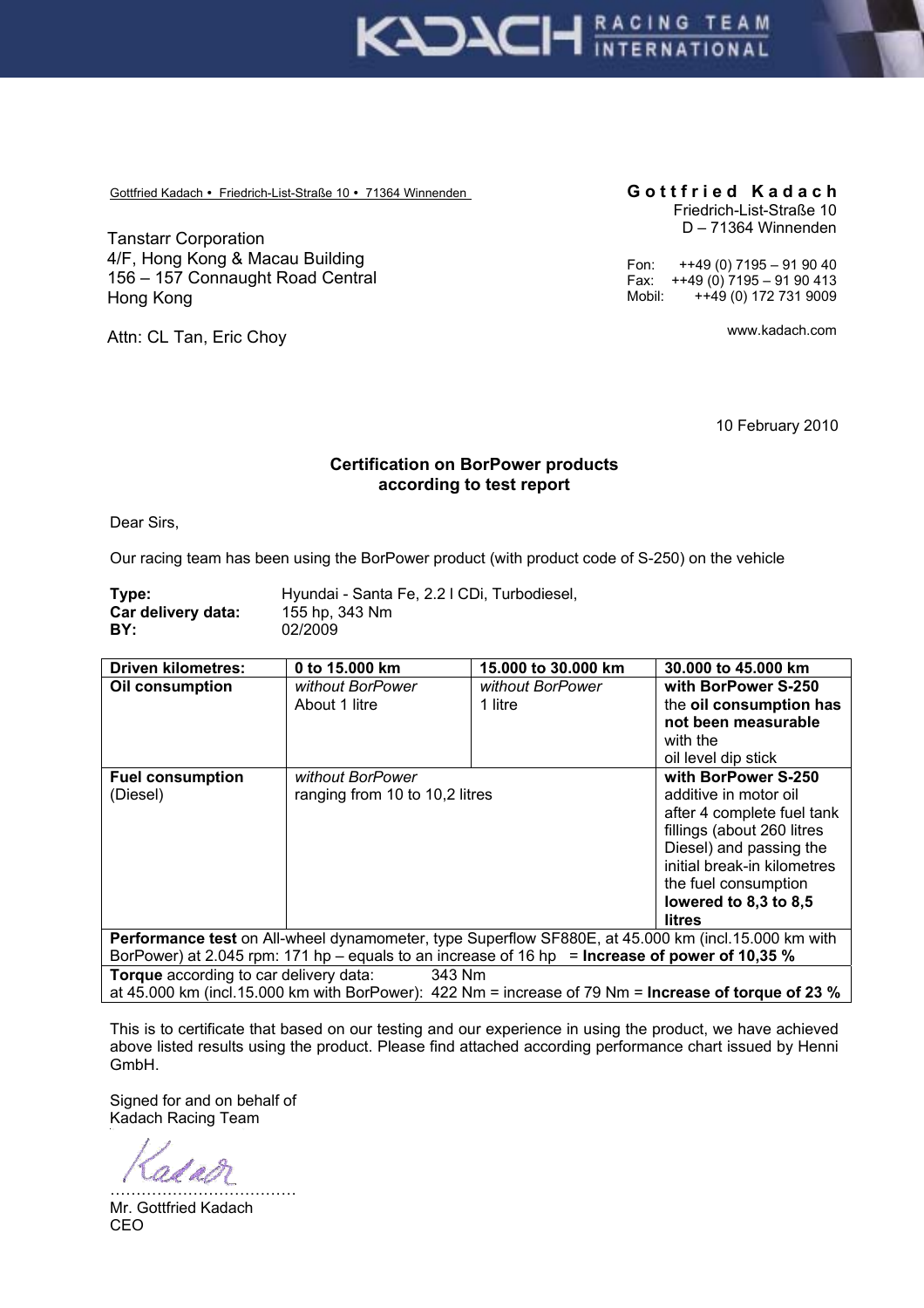

Gottfried Kadach • Friedrich-List-Straße 10 • 71364 Winnenden **Gottfried Kadach** 

Tanstarr Corporation 4/F, Hong Kong & Macau Building 156 – 157 Connaught Road Central Hong Kong

Attn: CL Tan, Eric Choy

## Friedrich-List-Straße 10 D – 71364 Winnenden

Fon:  $+49(0)$  7195 – 91 90 40 Fax:  $+49(0) 7195 - 9190413$ Mobil: ++49 (0) 172 731 9009

www.kadach.com

10 February 2010

## **Certification on BorPower products according to test report**

Dear Sirs,

Our racing team has been using the BorPower product (with product code of S-250) on the vehicle

| Type:              | Hyundai - Santa Fe, 2.2 I CDi, Turbodiesel, |
|--------------------|---------------------------------------------|
| Car delivery data: | 155 hp. 343 Nm                              |
| BY:                | 02/2009                                     |

| <b>Driven kilometres:</b>                                                                                   | 0 to 15.000 km                 | 15.000 to 30.000 km | 30.000 to 45.000 km         |  |
|-------------------------------------------------------------------------------------------------------------|--------------------------------|---------------------|-----------------------------|--|
| Oil consumption                                                                                             | without BorPower               | without BorPower    | with BorPower S-250         |  |
|                                                                                                             | About 1 litre                  | 1 litre             | the oil consumption has     |  |
|                                                                                                             |                                |                     | not been measurable         |  |
|                                                                                                             |                                |                     | with the                    |  |
|                                                                                                             |                                |                     | oil level dip stick         |  |
| <b>Fuel consumption</b>                                                                                     | without BorPower               |                     | with BorPower S-250         |  |
| (Diesel)                                                                                                    | ranging from 10 to 10,2 litres |                     | additive in motor oil       |  |
|                                                                                                             |                                |                     | after 4 complete fuel tank  |  |
|                                                                                                             |                                |                     | fillings (about 260 litres  |  |
|                                                                                                             |                                |                     | Diesel) and passing the     |  |
|                                                                                                             |                                |                     | initial break-in kilometres |  |
|                                                                                                             |                                |                     | the fuel consumption        |  |
|                                                                                                             |                                |                     | lowered to 8,3 to 8,5       |  |
|                                                                                                             |                                |                     | litres                      |  |
| Performance test on All-wheel dynamometer, type Superflow SF880E, at 45.000 km (incl.15.000 km with         |                                |                     |                             |  |
| BorPower) at 2.045 rpm: 171 hp – equals to an increase of 16 hp = <b>Increase of power of 10,35 %</b>       |                                |                     |                             |  |
| <b>Torque</b> according to car delivery data:<br>343 Nm                                                     |                                |                     |                             |  |
| at 45.000 km (incl.15.000 km with BorPower): 422 Nm = increase of 79 Nm = <b>Increase of torque of 23 %</b> |                                |                     |                             |  |

This is to certificate that based on our testing and our experience in using the product, we have achieved above listed results using the product. Please find attached according performance chart issued by Henni GmbH.

Signed for and on behalf of Kadach Racing Team

odam ………………………………

Mr. Gottfried Kadach CEO